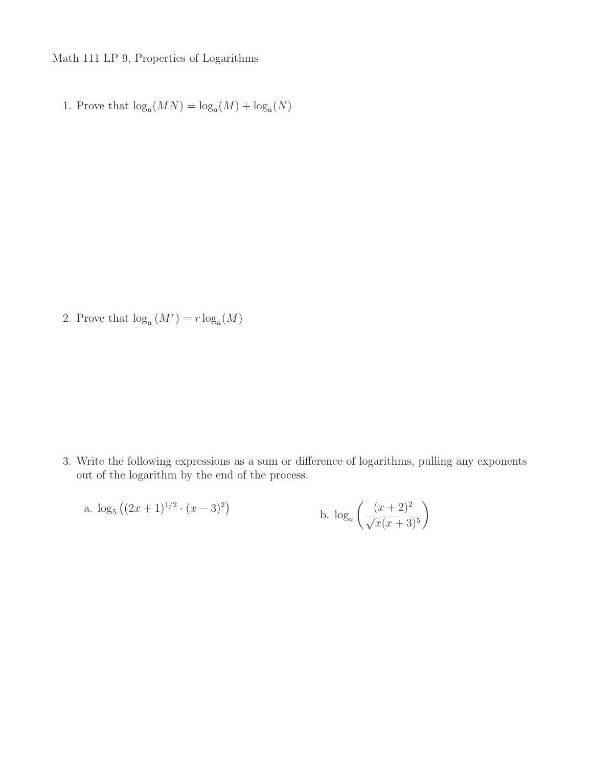Math 111 LP 9, Properties of Logarithms

1. Prove that  $\log_a(MN) = \log_a(M) + \log_a(N)$ 

2. Prove that  $\log_a(M^r) = r \log_a(M)$ 

3. Write the following expressions as a sum or difference of logarithms, pulling any exponents out of the logarithm by the end of the process.

a. 
$$
\log_5((2x+1)^{1/2} \cdot (x-3)^2)
$$
  
b.  $\log_a\left(\frac{(x+2)^2}{\sqrt{x}(x+3)^5}\right)$